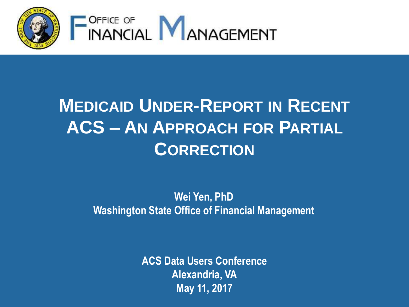

## **MEDICAID UNDER-REPORT IN RECENT ACS – AN APPROACH FOR PARTIAL CORRECTION**

#### **Wei Yen, PhD Washington State Office of Financial Management**

**ACS Data Users Conference Alexandria, VA May 11, 2017**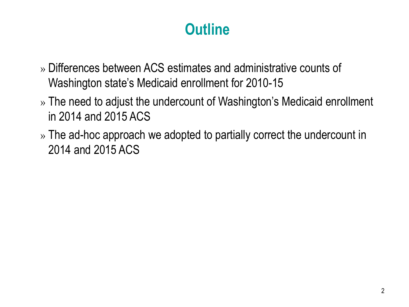#### **Outline**

- » Differences between ACS estimates and administrative counts of Washington state's Medicaid enrollment for 2010-15
- » The need to adjust the undercount of Washington's Medicaid enrollment in 2014 and 2015 ACS
- » The ad-hoc approach we adopted to partially correct the undercount in 2014 and 2015 ACS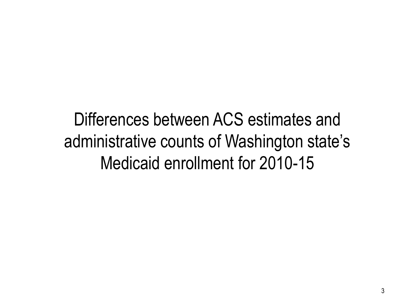Differences between ACS estimates and administrative counts of Washington state's Medicaid enrollment for 2010-15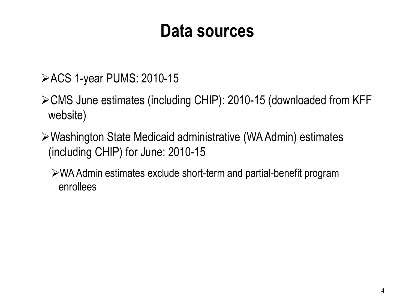### **Data sources**

- ACS 1-year PUMS: 2010-15
- CMS June estimates (including CHIP): 2010-15 (downloaded from KFF website)
- Washington State Medicaid administrative (WA Admin) estimates (including CHIP) for June: 2010-15
	- WA Admin estimates exclude short-term and partial-benefit program enrollees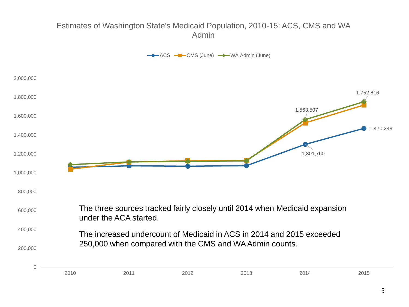#### Estimates of Washington State's Medicaid Population, 2010-15: ACS, CMS and WA Admin

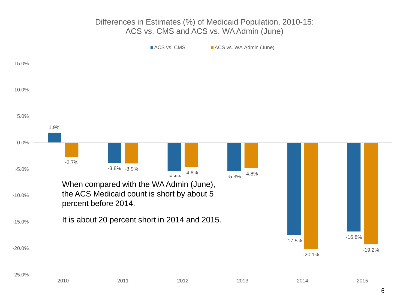#### Differences in Estimates (%) of Medicaid Population, 2010-15: ACS vs. CMS and ACS vs. WA Admin (June)

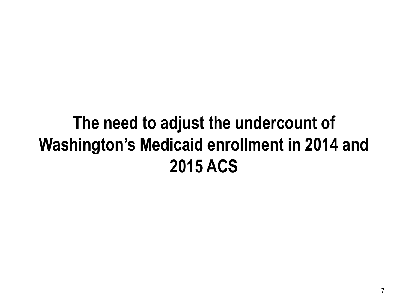## **The need to adjust the undercount of Washington's Medicaid enrollment in 2014 and 2015 ACS**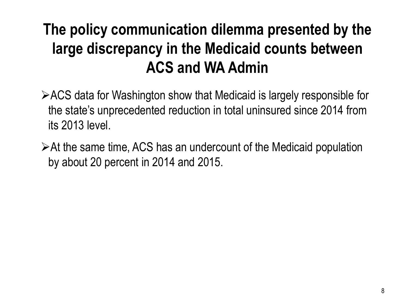### **The policy communication dilemma presented by the large discrepancy in the Medicaid counts between ACS and WA Admin**

- ACS data for Washington show that Medicaid is largely responsible for the state's unprecedented reduction in total uninsured since 2014 from its 2013 level.
- At the same time, ACS has an undercount of the Medicaid population by about 20 percent in 2014 and 2015.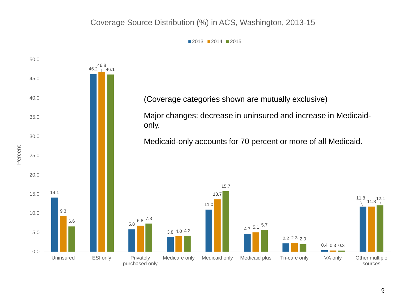#### Coverage Source Distribution (%) in ACS, Washington, 2013-15

 $2013$  2014 2015

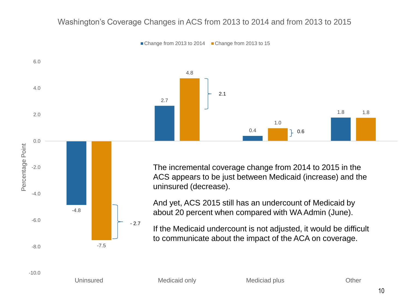#### Washington's Coverage Changes in ACS from 2013 to 2014 and from 2013 to 2015



Change from 2013 to 2014 Change from 2013 to 15

The incremental coverage change from 2014 to 2015 in the ACS appears to be just between Medicaid (increase) and the uninsured (decrease).

And yet, ACS 2015 still has an undercount of Medicaid by about 20 percent when compared with WA Admin (June).

If the Medicaid undercount is not adjusted, it would be difficult to communicate about the impact of the ACA on coverage.

-10.0

-8.0

-6.0

-4.0

-2.0

-7.5

- 2.7

-4.8

Uninsured Medicaid only Mediciad plus Cther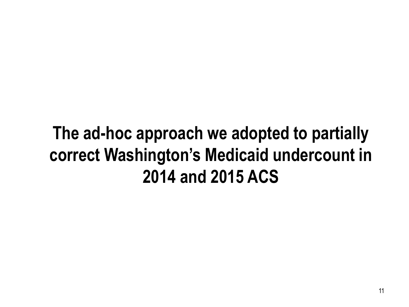## **The ad-hoc approach we adopted to partially correct Washington's Medicaid undercount in 2014 and 2015 ACS**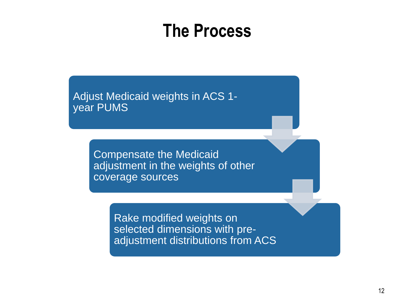### **The Process**

Adjust Medicaid weights in ACS 1 year PUMS

> Compensate the Medicaid adjustment in the weights of other coverage sources

> > Rake modified weights on selected dimensions with preadjustment distributions from ACS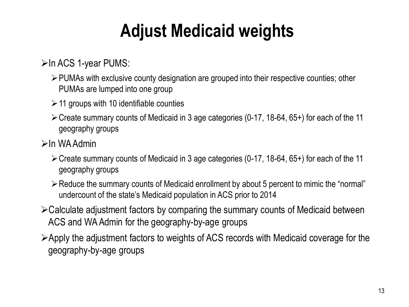# **Adjust Medicaid weights**

 $\triangleright$  In ACS 1-year PUMS:

- PUMAs with exclusive county designation are grouped into their respective counties; other PUMAs are lumped into one group
- $\geq$  11 groups with 10 identifiable counties
- Create summary counts of Medicaid in 3 age categories (0-17, 18-64, 65+) for each of the 11 geography groups
- $\triangleright$ In WA Admin
	- Create summary counts of Medicaid in 3 age categories (0-17, 18-64, 65+) for each of the 11 geography groups
	- Reduce the summary counts of Medicaid enrollment by about 5 percent to mimic the "normal" undercount of the state's Medicaid population in ACS prior to 2014
- Calculate adjustment factors by comparing the summary counts of Medicaid between ACS and WA Admin for the geography-by-age groups
- Apply the adjustment factors to weights of ACS records with Medicaid coverage for the geography-by-age groups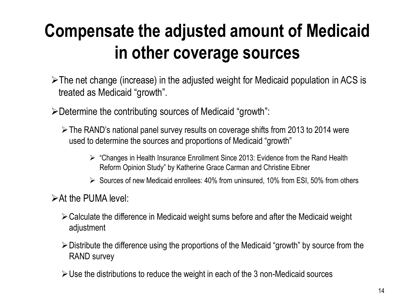# **Compensate the adjusted amount of Medicaid in other coverage sources**

- $\triangleright$ The net change (increase) in the adjusted weight for Medicaid population in ACS is treated as Medicaid "growth".
- Determine the contributing sources of Medicaid "growth":
	- The RAND's national panel survey results on coverage shifts from 2013 to 2014 were used to determine the sources and proportions of Medicaid "growth"
		- $\triangleright$  "Changes in Health Insurance Enrollment Since 2013: Evidence from the Rand Health Reform Opinion Study" by Katherine Grace Carman and Christine Eibner
		- $\triangleright$  Sources of new Medicaid enrollees: 40% from uninsured, 10% from ESI, 50% from others
- $\triangleright$  At the PUMA level:
	- Calculate the difference in Medicaid weight sums before and after the Medicaid weight adjustment
	- Distribute the difference using the proportions of the Medicaid "growth" by source from the RAND survey
	- $\triangleright$  Use the distributions to reduce the weight in each of the 3 non-Medicaid sources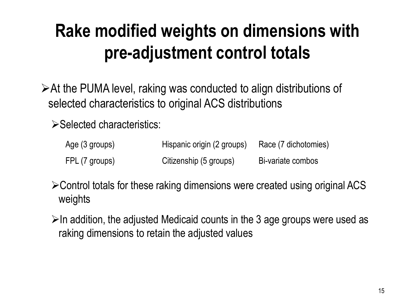# **Rake modified weights on dimensions with pre-adjustment control totals**

At the PUMA level, raking was conducted to align distributions of selected characteristics to original ACS distributions

 $\triangleright$  Selected characteristics:

| Age (3 groups) | Hispanic origin (2 groups) | Race (7 dichotomies) |
|----------------|----------------------------|----------------------|
| FPL (7 groups) | Citizenship (5 groups)     | Bi-variate combos    |

Control totals for these raking dimensions were created using original ACS weights

 $\triangleright$ In addition, the adjusted Medicaid counts in the 3 age groups were used as raking dimensions to retain the adjusted values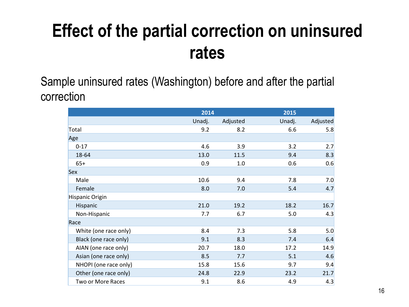## **Effect of the partial correction on uninsured rates**

Sample uninsured rates (Washington) before and after the partial correction

|                       | 2014   |          | 2015   |          |
|-----------------------|--------|----------|--------|----------|
|                       | Unadj. | Adjusted | Unadj. | Adjusted |
| Total                 | 9.2    | 8.2      | 6.6    | 5.8      |
| Age                   |        |          |        |          |
| $0 - 17$              | 4.6    | 3.9      | 3.2    | 2.7      |
| 18-64                 | 13.0   | 11.5     | 9.4    | 8.3      |
| $65+$                 | 0.9    | 1.0      | 0.6    | 0.6      |
| Sex                   |        |          |        |          |
| Male                  | 10.6   | 9.4      | 7.8    | 7.0      |
| Female                | 8.0    | 7.0      | 5.4    | 4.7      |
| Hispanic Origin       |        |          |        |          |
| Hispanic              | 21.0   | 19.2     | 18.2   | 16.7     |
| Non-Hispanic          | 7.7    | 6.7      | 5.0    | 4.3      |
| Race                  |        |          |        |          |
| White (one race only) | 8.4    | 7.3      | 5.8    | 5.0      |
| Black (one race only) | 9.1    | 8.3      | 7.4    | 6.4      |
| AIAN (one race only)  | 20.7   | 18.0     | 17.2   | 14.9     |
| Asian (one race only) | 8.5    | 7.7      | 5.1    | 4.6      |
| NHOPI (one race only) | 15.8   | 15.6     | 9.7    | 9.4      |
| Other (one race only) | 24.8   | 22.9     | 23.2   | 21.7     |
| Two or More Races     | 9.1    | 8.6      | 4.9    | 4.3      |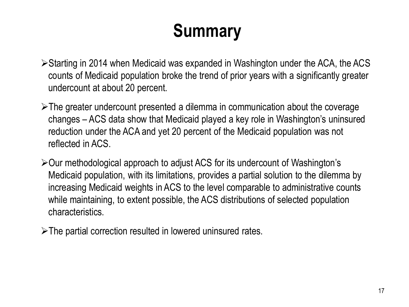# **Summary**

- Starting in 2014 when Medicaid was expanded in Washington under the ACA, the ACS counts of Medicaid population broke the trend of prior years with a significantly greater undercount at about 20 percent.
- $\triangleright$ The greater undercount presented a dilemma in communication about the coverage changes – ACS data show that Medicaid played a key role in Washington's uninsured reduction under the ACA and yet 20 percent of the Medicaid population was not reflected in ACS.
- Our methodological approach to adjust ACS for its undercount of Washington's Medicaid population, with its limitations, provides a partial solution to the dilemma by increasing Medicaid weights in ACS to the level comparable to administrative counts while maintaining, to extent possible, the ACS distributions of selected population characteristics.

The partial correction resulted in lowered uninsured rates.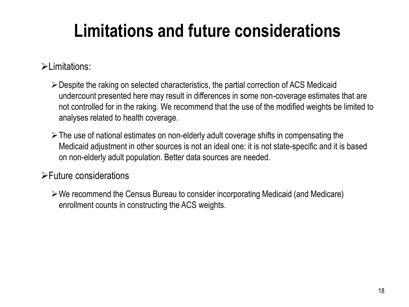## **Limitations and future considerations**

#### $\blacktriangleright$  limitations:

- Despite the raking on selected characteristics, the partial correction of ACS Medicaid undercount presented here may result in differences in some non-coverage estimates that are not controlled for in the raking. We recommend that the use of the modified weights be limited to analyses related to health coverage.
- $\triangleright$  The use of national estimates on non-elderly adult coverage shifts in compensating the Medicaid adjustment in other sources is not an ideal one: it is not state-specific and it is based on non-elderly adult population. Better data sources are needed.

#### Future considerations

We recommend the Census Bureau to consider incorporating Medicaid (and Medicare) enrollment counts in constructing the ACS weights.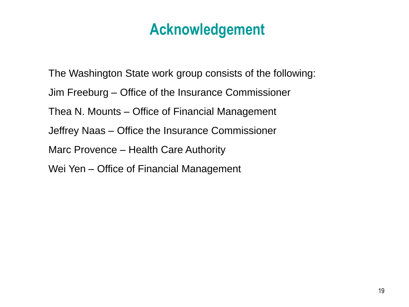#### **Acknowledgement**

The Washington State work group consists of the following: Jim Freeburg – Office of the Insurance Commissioner Thea N. Mounts – Office of Financial Management Jeffrey Naas – Office the Insurance Commissioner Marc Provence – Health Care Authority Wei Yen – Office of Financial Management